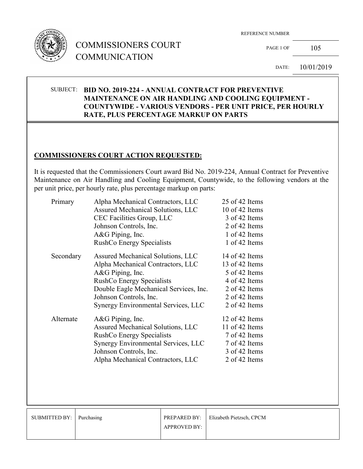

# COMMISSIONERS COURT COMMUNICATION

REFERENCE NUMBER

PAGE 1 OF 105

DATE: 10/01/2019

#### SUBJECT: **BID NO. 2019-224 - ANNUAL CONTRACT FOR PREVENTIVE MAINTENANCE ON AIR HANDLING AND COOLING EQUIPMENT - COUNTYWIDE - VARIOUS VENDORS - PER UNIT PRICE, PER HOURLY RATE, PLUS PERCENTAGE MARKUP ON PARTS**

## **COMMISSIONERS COURT ACTION REQUESTED:**

It is requested that the Commissioners Court award Bid No. 2019-224, Annual Contract for Preventive Maintenance on Air Handling and Cooling Equipment, Countywide, to the following vendors at the per unit price, per hourly rate, plus percentage markup on parts:

| Alpha Mechanical Contractors, LLC                   | 25 of 42 Items   |
|-----------------------------------------------------|------------------|
| Assured Mechanical Solutions, LLC                   | 10 of 42 Items   |
| CEC Facilities Group, LLC<br>Johnson Controls, Inc. |                  |
|                                                     |                  |
| <b>RushCo Energy Specialists</b>                    | 1 of 42 Items    |
| Assured Mechanical Solutions, LLC                   | 14 of 42 Items   |
| Alpha Mechanical Contractors, LLC                   | 13 of 42 Items   |
| A&G Piping, Inc.                                    | 5 of 42 Items    |
| <b>RushCo Energy Specialists</b>                    | 4 of 42 Items    |
| Double Eagle Mechanical Services, Inc.              | 2 of 42 Items    |
| Johnson Controls, Inc.                              | 2 of 42 Items    |
| Synergy Environmental Services, LLC                 | 2 of 42 Items    |
| $A&G$ Piping, Inc.                                  | 12 of 42 Items   |
| Assured Mechanical Solutions, LLC                   | 11 of 42 Items   |
| <b>RushCo Energy Specialists</b>                    | 7 of 42 Items    |
| Synergy Environmental Services, LLC                 | 7 of 42 Items    |
| Johnson Controls, Inc.                              | 3 of 42 Items    |
| Alpha Mechanical Contractors, LLC                   | 2 of 42 Items    |
|                                                     | A&G Piping, Inc. |

| SUBMITTED BY: Purchasing |                     | <b>PREPARED BY:</b> Elizabeth Pietzsch, CPCM |
|--------------------------|---------------------|----------------------------------------------|
|                          | <b>APPROVED BY:</b> |                                              |